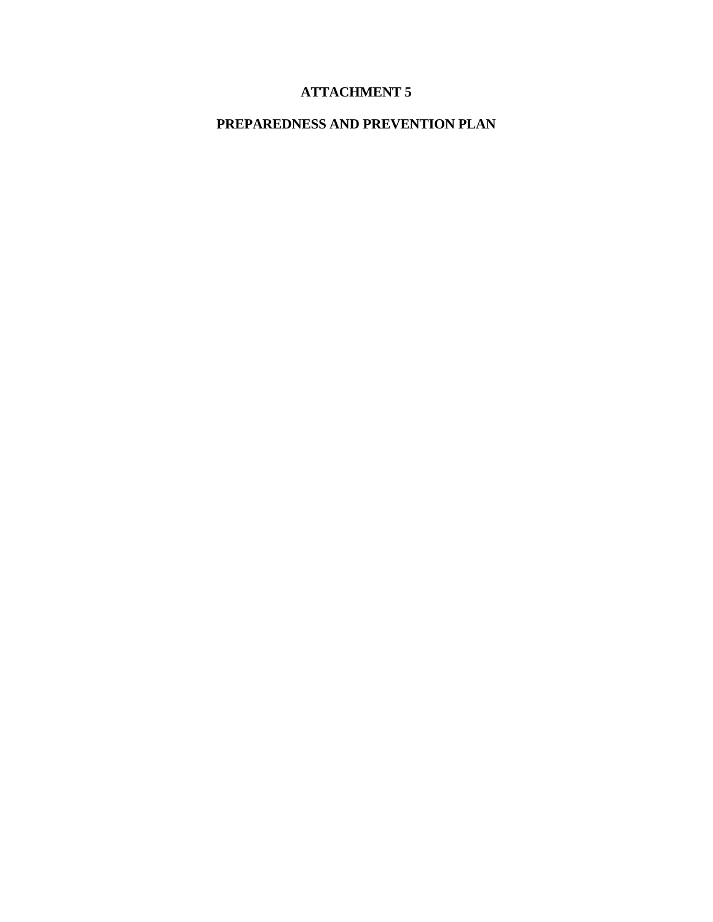# **ATTACHMENT 5**

# **PREPAREDNESS AND PREVENTION PLAN**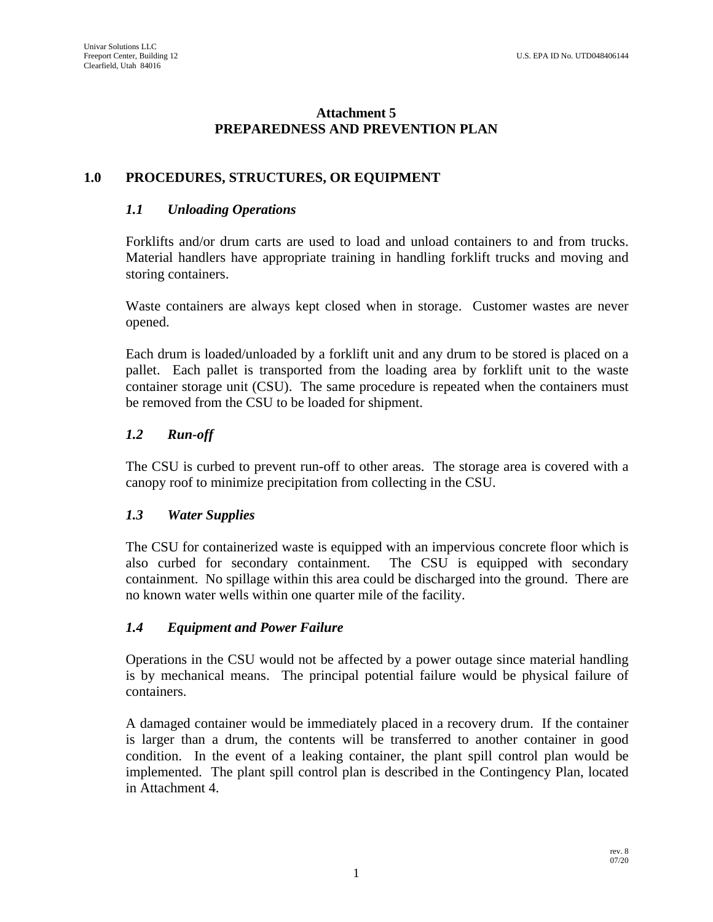## **Attachment 5 PREPAREDNESS AND PREVENTION PLAN**

## **1.0 PROCEDURES, STRUCTURES, OR EQUIPMENT**

### *1.1 Unloading Operations*

Forklifts and/or drum carts are used to load and unload containers to and from trucks. Material handlers have appropriate training in handling forklift trucks and moving and storing containers.

Waste containers are always kept closed when in storage. Customer wastes are never opened.

Each drum is loaded/unloaded by a forklift unit and any drum to be stored is placed on a pallet. Each pallet is transported from the loading area by forklift unit to the waste container storage unit (CSU). The same procedure is repeated when the containers must be removed from the CSU to be loaded for shipment.

## *1.2 Run-off*

The CSU is curbed to prevent run-off to other areas. The storage area is covered with a canopy roof to minimize precipitation from collecting in the CSU.

### *1.3 Water Supplies*

The CSU for containerized waste is equipped with an impervious concrete floor which is also curbed for secondary containment. The CSU is equipped with secondary containment. No spillage within this area could be discharged into the ground. There are no known water wells within one quarter mile of the facility.

## *1.4 Equipment and Power Failure*

Operations in the CSU would not be affected by a power outage since material handling is by mechanical means. The principal potential failure would be physical failure of containers.

A damaged container would be immediately placed in a recovery drum. If the container is larger than a drum, the contents will be transferred to another container in good condition. In the event of a leaking container, the plant spill control plan would be implemented. The plant spill control plan is described in the Contingency Plan, located in Attachment 4.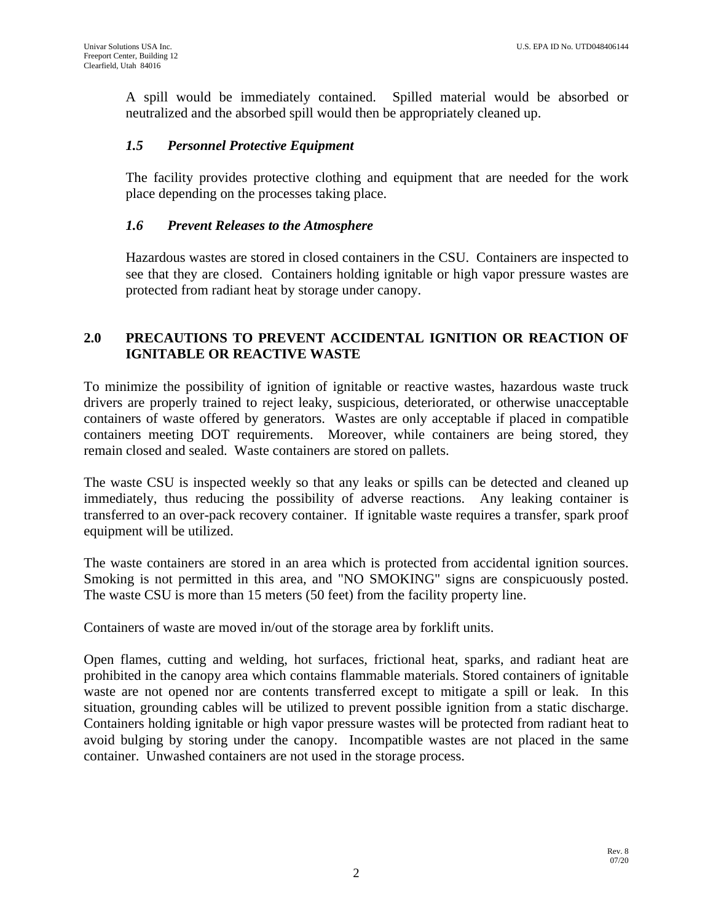A spill would be immediately contained. Spilled material would be absorbed or neutralized and the absorbed spill would then be appropriately cleaned up.

### *1.5 Personnel Protective Equipment*

The facility provides protective clothing and equipment that are needed for the work place depending on the processes taking place.

### *1.6 Prevent Releases to the Atmosphere*

Hazardous wastes are stored in closed containers in the CSU. Containers are inspected to see that they are closed. Containers holding ignitable or high vapor pressure wastes are protected from radiant heat by storage under canopy.

## **2.0 PRECAUTIONS TO PREVENT ACCIDENTAL IGNITION OR REACTION OF IGNITABLE OR REACTIVE WASTE**

To minimize the possibility of ignition of ignitable or reactive wastes, hazardous waste truck drivers are properly trained to reject leaky, suspicious, deteriorated, or otherwise unacceptable containers of waste offered by generators. Wastes are only acceptable if placed in compatible containers meeting DOT requirements. Moreover, while containers are being stored, they remain closed and sealed. Waste containers are stored on pallets.

The waste CSU is inspected weekly so that any leaks or spills can be detected and cleaned up immediately, thus reducing the possibility of adverse reactions. Any leaking container is transferred to an over-pack recovery container. If ignitable waste requires a transfer, spark proof equipment will be utilized.

The waste containers are stored in an area which is protected from accidental ignition sources. Smoking is not permitted in this area, and "NO SMOKING" signs are conspicuously posted. The waste CSU is more than 15 meters (50 feet) from the facility property line.

Containers of waste are moved in/out of the storage area by forklift units.

Open flames, cutting and welding, hot surfaces, frictional heat, sparks, and radiant heat are prohibited in the canopy area which contains flammable materials. Stored containers of ignitable waste are not opened nor are contents transferred except to mitigate a spill or leak. In this situation, grounding cables will be utilized to prevent possible ignition from a static discharge. Containers holding ignitable or high vapor pressure wastes will be protected from radiant heat to avoid bulging by storing under the canopy. Incompatible wastes are not placed in the same container. Unwashed containers are not used in the storage process.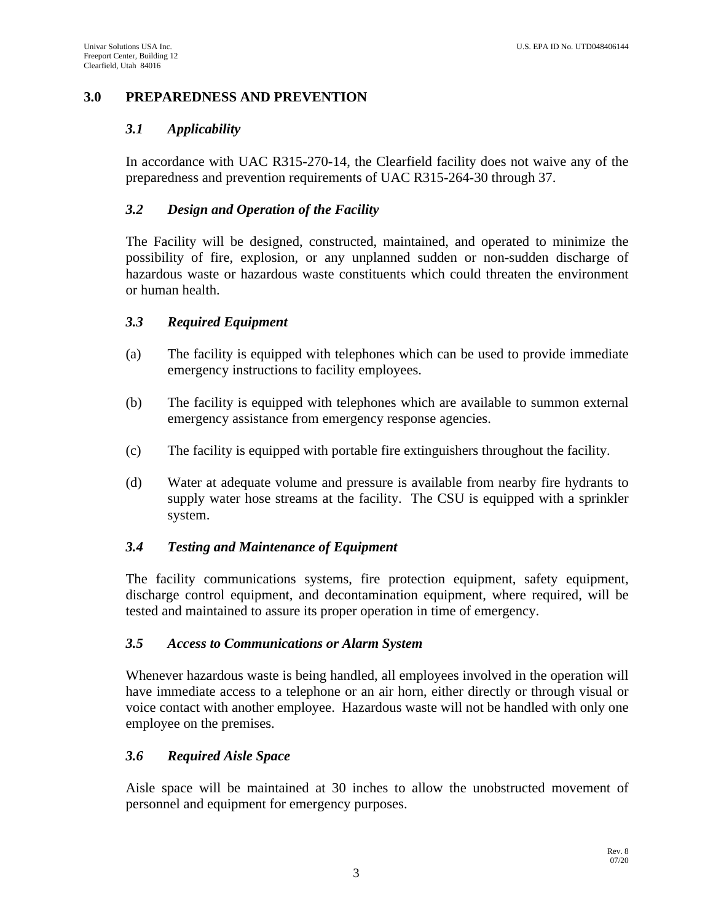## **3.0 PREPAREDNESS AND PREVENTION**

## *3.1 Applicability*

In accordance with UAC R315-270-14, the Clearfield facility does not waive any of the preparedness and prevention requirements of UAC R315-264-30 through 37.

## *3.2 Design and Operation of the Facility*

The Facility will be designed, constructed, maintained, and operated to minimize the possibility of fire, explosion, or any unplanned sudden or non-sudden discharge of hazardous waste or hazardous waste constituents which could threaten the environment or human health.

### *3.3 Required Equipment*

- (a) The facility is equipped with telephones which can be used to provide immediate emergency instructions to facility employees.
- (b) The facility is equipped with telephones which are available to summon external emergency assistance from emergency response agencies.
- (c) The facility is equipped with portable fire extinguishers throughout the facility.
- (d) Water at adequate volume and pressure is available from nearby fire hydrants to supply water hose streams at the facility. The CSU is equipped with a sprinkler system.

### *3.4 Testing and Maintenance of Equipment*

The facility communications systems, fire protection equipment, safety equipment, discharge control equipment, and decontamination equipment, where required, will be tested and maintained to assure its proper operation in time of emergency.

### *3.5 Access to Communications or Alarm System*

Whenever hazardous waste is being handled, all employees involved in the operation will have immediate access to a telephone or an air horn, either directly or through visual or voice contact with another employee. Hazardous waste will not be handled with only one employee on the premises.

### *3.6 Required Aisle Space*

Aisle space will be maintained at 30 inches to allow the unobstructed movement of personnel and equipment for emergency purposes.